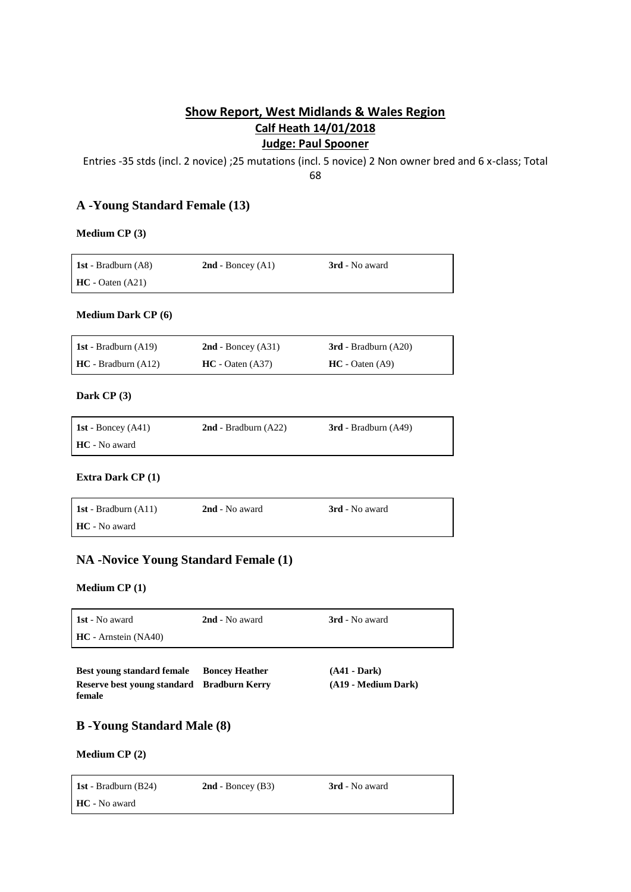# **Show Report, West Midlands & Wales Region Calf Heath 14/01/2018 Judge: Paul Spooner**

Entries -35 stds (incl. 2 novice) ;25 mutations (incl. 5 novice) 2 Non owner bred and 6 x-class; Total

68

## **A -Young Standard Female (13)**

### **Medium CP (3)**

| <b>1st</b> - Bradburn $(AB)$ | $2nd$ - Boncey $(A1)$ | <b>3rd</b> - No award |
|------------------------------|-----------------------|-----------------------|
| $HC - Oaten (A21)$           |                       |                       |

### **Medium Dark CP (6)**

| 1st - Bradburn $(A19)$ | $2nd$ - Boncey (A31) | $3rd$ - Bradburn $(A20)$ |
|------------------------|----------------------|--------------------------|
| $HC - Bradburn (A12)$  | $HC - Oaten (A37)$   | $HC - Oaten (A9)$        |

### **Dark CP (3)**

| <b>1st</b> - Boncey $(A41)$ | $2nd$ - Bradburn $(A22)$ | $3rd$ - Bradburn $(A49)$ |
|-----------------------------|--------------------------|--------------------------|
| HC - No award               |                          |                          |

### **Extra Dark CP (1)**

| <b>1st</b> - Bradburn $(A11)$ | 2nd - No award | <b>3rd</b> - No award |
|-------------------------------|----------------|-----------------------|
| <b>HC</b> - No award          |                |                       |

## **NA -Novice Young Standard Female (1)**

### **Medium CP (1)**

| <b>1st</b> - No award  | 2nd - No award | <b>3rd</b> - No award |
|------------------------|----------------|-----------------------|
| $HC -$ Arnstein (NA40) |                |                       |
|                        |                |                       |

**Best young standard female Boncey Heather (A41 - Dark) Reserve best young standard female Bradburn Kerry (A19 - Medium Dark)**

## **B -Young Standard Male (8)**

### **Medium CP (2)**

| <b>1st</b> - Bradburn $(B24)$ | $2nd$ - Boncey (B3) | <b>3rd</b> - No award |
|-------------------------------|---------------------|-----------------------|
| HC - No award                 |                     |                       |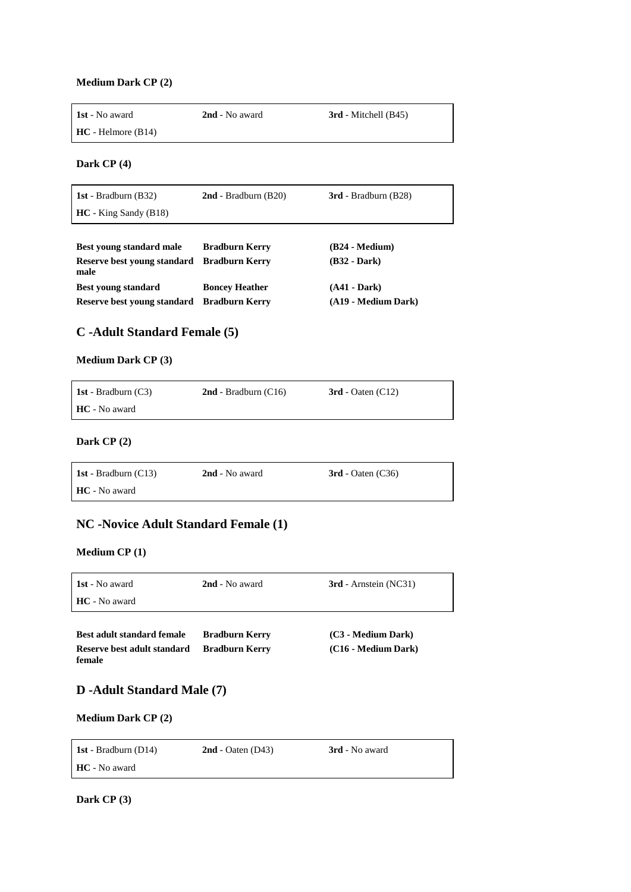#### **Medium Dark CP (2)**

| 1st - No award<br>$HC - Helmore (B14)$ | 2nd - No award         | 3rd - Mitchell (B45)   |
|----------------------------------------|------------------------|------------------------|
| Dark $CP(4)$                           |                        |                        |
| 1st - Bradburn $(B32)$                 | $2nd$ - Bradburn (B20) | $3rd$ - Bradburn (B28) |
| $HC - King$ Sandy (B18)                |                        |                        |
| <b>Best young standard male</b>        | <b>Bradburn Kerry</b>  | $(B24 - Medium)$       |

| Reserve best young standard Bradburn Kerry | $(B32 - Dark)$      |
|--------------------------------------------|---------------------|
| <b>Boncey Heather</b>                      | $(A41 - Dark)$      |
| Reserve best voung standard Bradburn Kerry | (A19 - Medium Dark) |
|                                            |                     |

# **C -Adult Standard Female (5)**

### **Medium Dark CP (3)**

| <b>1st</b> - Bradburn $(C3)$ | $2nd$ - Bradburn (C16) | $3rd$ - Oaten (C12) |
|------------------------------|------------------------|---------------------|
| <b>HC</b> - No award         |                        |                     |

## **Dark CP (2)**

| <b>1st</b> - Bradburn $(C13)$ | 2nd - No award | $3rd$ - Oaten (C36) |
|-------------------------------|----------------|---------------------|
| HC - No award                 |                |                     |

# **NC -Novice Adult Standard Female (1)**

### **Medium CP (1)**

| <b>1st</b> - No award | 2nd - No award | <b>3rd</b> - Arnstein (NC31) |
|-----------------------|----------------|------------------------------|
| <b>HC</b> - No award  |                |                              |

| <b>Best adult standard female</b> | <b>Bradburn Kerry</b> | (C3 - Medium Dark)  |
|-----------------------------------|-----------------------|---------------------|
| Reserve best adult standard       | <b>Bradburn Kerry</b> | (C16 - Medium Dark) |
| female                            |                       |                     |

## **D -Adult Standard Male (7)**

### **Medium Dark CP (2)**

| <b>1st</b> - Bradburn $(D14)$ | $2nd$ - Oaten (D43) | <b>3rd</b> - No award |
|-------------------------------|---------------------|-----------------------|
| HC - No award                 |                     |                       |

**Dark CP (3)**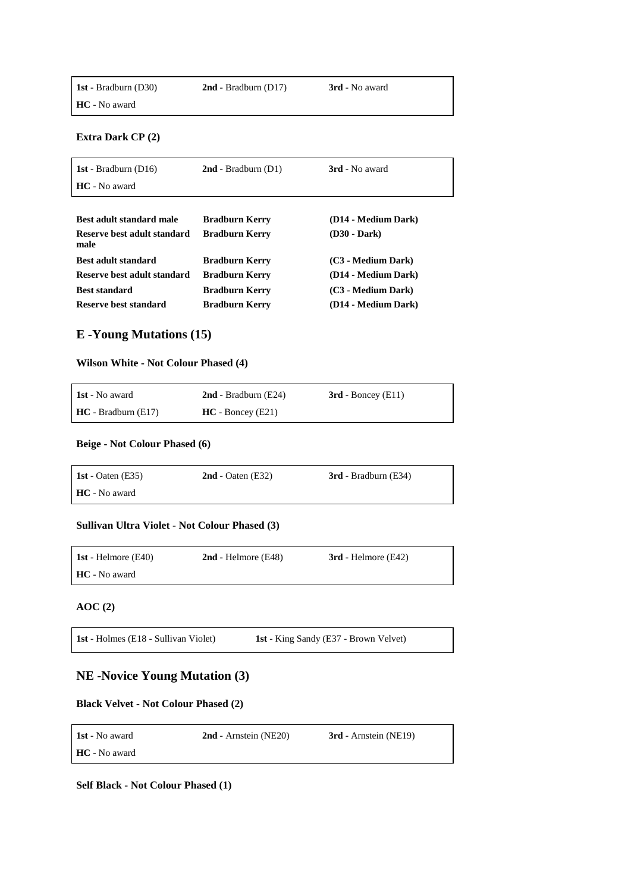| <b>1st</b> - Bradburn (D30) | $2nd$ - Bradburn (D17) | <b>3rd</b> - No award |
|-----------------------------|------------------------|-----------------------|
| <b>HC</b> - No award        |                        |                       |

**Extra Dark CP (2)**

| 1st - Bradburn $(D16)$              | $2nd$ - Bradburn (D1) | 3rd - No award      |
|-------------------------------------|-----------------------|---------------------|
| HC - No award                       |                       |                     |
|                                     |                       |                     |
| Best adult standard male            | <b>Bradburn Kerry</b> | (D14 - Medium Dark) |
| Reserve best adult standard<br>male | <b>Bradburn Kerry</b> | (D30 - Dark)        |
| Best adult standard                 | <b>Bradburn Kerry</b> | (C3 - Medium Dark)  |
| Reserve best adult standard         | <b>Bradburn Kerry</b> | (D14 - Medium Dark) |
| <b>Best standard</b>                | Bradburn Kerry        | (C3 - Medium Dark)  |
| Reserve best standard               | <b>Bradburn Kerry</b> | (D14 - Medium Dark) |

# **E -Young Mutations (15)**

#### **Wilson White - Not Colour Phased (4)**

| <b>1st</b> - No award | $2nd$ - Bradburn (E24) | $3rd$ - Boncey (E11) |
|-----------------------|------------------------|----------------------|
| $HC - Bradburn (E17)$ | $HC - Boncev (E21)$    |                      |

### **Beige - Not Colour Phased (6)**

| 1st - Oaten $(E35)$  | $2nd$ - Oaten (E32) | $3rd$ - Bradburn (E34) |
|----------------------|---------------------|------------------------|
| <b>HC</b> - No award |                     |                        |

### **Sullivan Ultra Violet - Not Colour Phased (3)**

| 1st - Helmore $(E40)$ | $2nd$ - Helmore (E48) | $3rd$ - Helmore (E42) |
|-----------------------|-----------------------|-----------------------|
| HC - No award         |                       |                       |

### **AOC (2)**

# **NE -Novice Young Mutation (3)**

### **Black Velvet - Not Colour Phased (2)**

| <b>1st</b> - No award | $2nd$ - Arnstein (NE20) | <b>3rd</b> - Arnstein (NE19) |
|-----------------------|-------------------------|------------------------------|
| <b>HC</b> - No award  |                         |                              |

**Self Black - Not Colour Phased (1)**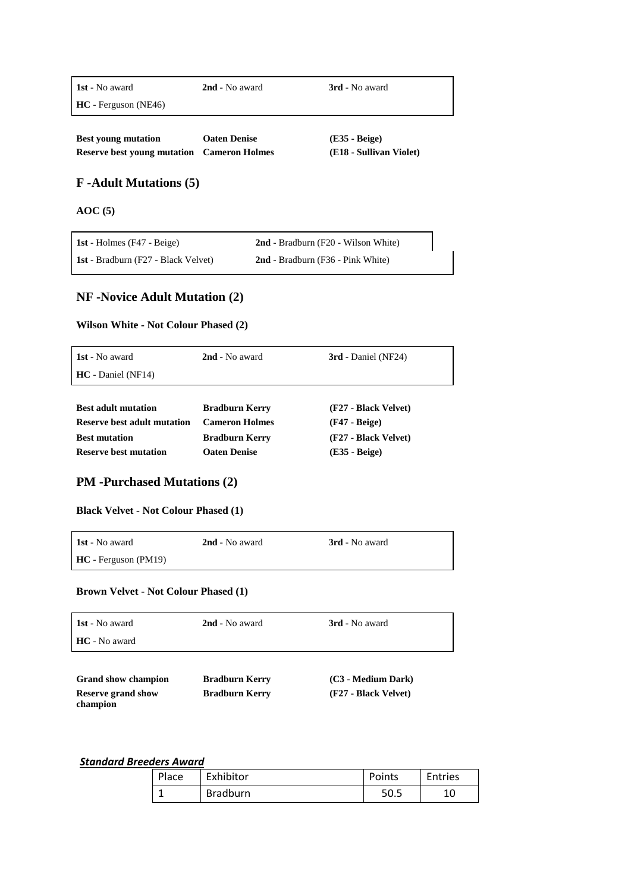**HC** - Ferguson (NE46)

**1st** - No award **2nd** - No award **3rd** - No award

**Best young mutation Oaten Denise (E35 - Beige) Reserve best young mutation Cameron Holmes (E18 - Sullivan Violet)**

## **F -Adult Mutations (5)**

**AOC (5)**

| 1st - Holmes $(F47 - Beige)$               | 2nd - Bradburn (F20 - Wilson White) |
|--------------------------------------------|-------------------------------------|
| <b>1st</b> - Bradburn (F27 - Black Velvet) | 2nd - Bradburn (F36 - Pink White)   |

# **NF -Novice Adult Mutation (2)**

### **Wilson White - Not Colour Phased (2)**

| 1st - No award                     | 2nd - No award        | 3rd - Daniel (NF24)  |  |
|------------------------------------|-----------------------|----------------------|--|
| $HC - Daniel (NF14)$               |                       |                      |  |
|                                    |                       |                      |  |
| <b>Best adult mutation</b>         | <b>Bradburn Kerry</b> | (F27 - Black Velvet) |  |
| <b>Reserve best adult mutation</b> | <b>Cameron Holmes</b> | $(F47 - Beige)$      |  |
| <b>Best mutation</b>               | <b>Bradburn Kerry</b> | (F27 - Black Velvet) |  |

**Reserve best mutation Oaten Denise (E35 - Beige)**

## **PM -Purchased Mutations (2)**

**Black Velvet - Not Colour Phased (1)**

| <b>1st</b> - No award  | 2nd - No award | <b>3rd</b> - No award |
|------------------------|----------------|-----------------------|
| $HC$ - Ferguson (PM19) |                |                       |

### **Brown Velvet - Not Colour Phased (1)**

| 1st - No award                        | 2nd - No award        | 3rd - No award       |
|---------------------------------------|-----------------------|----------------------|
| HC - No award                         |                       |                      |
|                                       |                       |                      |
| <b>Grand show champion</b>            | <b>Bradburn Kerry</b> | (C3 - Medium Dark)   |
| <b>Reserve grand show</b><br>champion | <b>Bradburn Kerry</b> | (F27 - Black Velvet) |

# *Standard Breeders Award*

| Place | Exhibitor       | Points | <b>Entries</b> |
|-------|-----------------|--------|----------------|
|       | <b>Bradburn</b> | 50.5   | 10             |